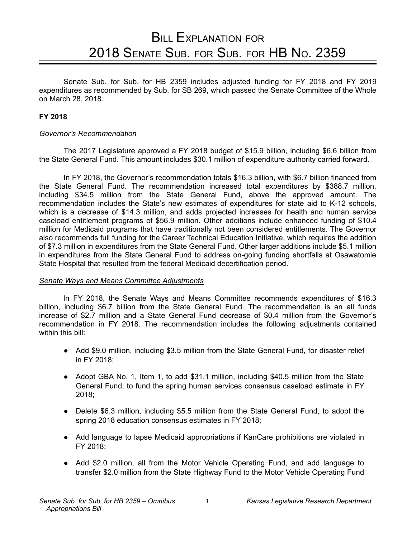# **BILL EXPLANATION FOR** 2018 SENATE SUB. FOR SUB. FOR HB NO. 2359

Senate Sub. for Sub. for HB 2359 includes adjusted funding for FY 2018 and FY 2019 expenditures as recommended by Sub. for SB 269, which passed the Senate Committee of the Whole on March 28, 2018.

#### **FY 2018**

#### *Governor's Recommendation*

The 2017 Legislature approved a FY 2018 budget of \$15.9 billion, including \$6.6 billion from the State General Fund. This amount includes \$30.1 million of expenditure authority carried forward.

In FY 2018, the Governor's recommendation totals \$16.3 billion, with \$6.7 billion financed from the State General Fund. The recommendation increased total expenditures by \$388.7 million, including \$34.5 million from the State General Fund, above the approved amount. The recommendation includes the State's new estimates of expenditures for state aid to K-12 schools, which is a decrease of \$14.3 million, and adds projected increases for health and human service caseload entitlement programs of \$56.9 million. Other additions include enhanced funding of \$10.4 million for Medicaid programs that have traditionally not been considered entitlements. The Governor also recommends full funding for the Career Technical Education Initiative, which requires the addition of \$7.3 million in expenditures from the State General Fund. Other larger additions include \$5.1 million in expenditures from the State General Fund to address on-going funding shortfalls at Osawatomie State Hospital that resulted from the federal Medicaid decertification period.

#### *Senate Ways and Means Committee Adjustments*

In FY 2018, the Senate Ways and Means Committee recommends expenditures of \$16.3 billion, including \$6.7 billion from the State General Fund. The recommendation is an all funds increase of \$2.7 million and a State General Fund decrease of \$0.4 million from the Governor's recommendation in FY 2018. The recommendation includes the following adjustments contained within this bill:

- Add \$9.0 million, including \$3.5 million from the State General Fund, for disaster relief in FY 2018;
- Adopt GBA No. 1, Item 1, to add \$31.1 million, including \$40.5 million from the State General Fund, to fund the spring human services consensus caseload estimate in FY 2018;
- Delete \$6.3 million, including \$5.5 million from the State General Fund, to adopt the spring 2018 education consensus estimates in FY 2018;
- Add language to lapse Medicaid appropriations if KanCare prohibitions are violated in FY 2018;
- Add \$2.0 million, all from the Motor Vehicle Operating Fund, and add language to transfer \$2.0 million from the State Highway Fund to the Motor Vehicle Operating Fund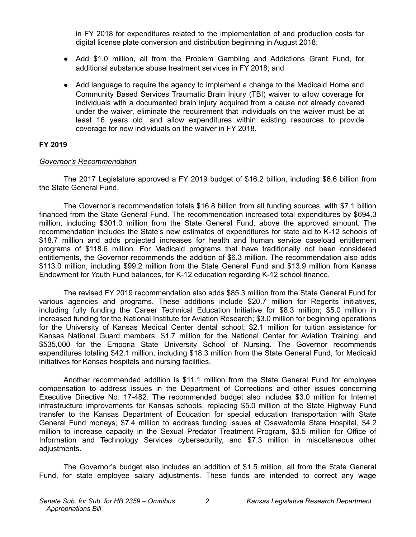in FY 2018 for expenditures related to the implementation of and production costs for digital license plate conversion and distribution beginning in August 2018;

- Add \$1.0 million, all from the Problem Gambling and Addictions Grant Fund, for additional substance abuse treatment services in FY 2018; and
- Add language to require the agency to implement a change to the Medicaid Home and Community Based Services Traumatic Brain Injury (TBI) waiver to allow coverage for individuals with a documented brain injury acquired from a cause not already covered under the waiver, eliminate the requirement that individuals on the waiver must be at least 16 years old, and allow expenditures within existing resources to provide coverage for new individuals on the waiver in FY 2018.

#### **FY 2019**

#### *Governor's Recommendation*

The 2017 Legislature approved a FY 2019 budget of \$16.2 billion, including \$6.6 billion from the State General Fund.

The Governor's recommendation totals \$16.8 billion from all funding sources, with \$7.1 billion financed from the State General Fund. The recommendation increased total expenditures by \$694.3 million, including \$301.0 million from the State General Fund, above the approved amount. The recommendation includes the State's new estimates of expenditures for state aid to K-12 schools of \$18.7 million and adds projected increases for health and human service caseload entitlement programs of \$118.6 million. For Medicaid programs that have traditionally not been considered entitlements, the Governor recommends the addition of \$6.3 million. The recommendation also adds \$113.0 million, including \$99.2 million from the State General Fund and \$13.9 million from Kansas Endowment for Youth Fund balances, for K-12 education regarding K-12 school finance.

The revised FY 2019 recommendation also adds \$85.3 million from the State General Fund for various agencies and programs. These additions include \$20.7 million for Regents initiatives, including fully funding the Career Technical Education Initiative for \$8.3 million; \$5.0 million in increased funding for the National Institute for Aviation Research; \$3.0 million for beginning operations for the University of Kansas Medical Center dental school; \$2.1 million for tuition assistance for Kansas National Guard members; \$1.7 million for the National Center for Aviation Training; and \$535,000 for the Emporia State University School of Nursing. The Governor recommends expenditures totaling \$42.1 million, including \$18.3 million from the State General Fund, for Medicaid initiatives for Kansas hospitals and nursing facilities.

Another recommended addition is \$11.1 million from the State General Fund for employee compensation to address issues in the Department of Corrections and other issues concerning Executive Directive No. 17-482. The recommended budget also includes \$3.0 million for Internet infrastructure improvements for Kansas schools, replacing \$5.0 million of the State Highway Fund transfer to the Kansas Department of Education for special education transportation with State General Fund moneys, \$7.4 million to address funding issues at Osawatomie State Hospital, \$4.2 million to increase capacity in the Sexual Predator Treatment Program, \$3.5 million for Office of Information and Technology Services cybersecurity, and \$7.3 million in miscellaneous other adjustments.

The Governor's budget also includes an addition of \$1.5 million, all from the State General Fund, for state employee salary adjustments. These funds are intended to correct any wage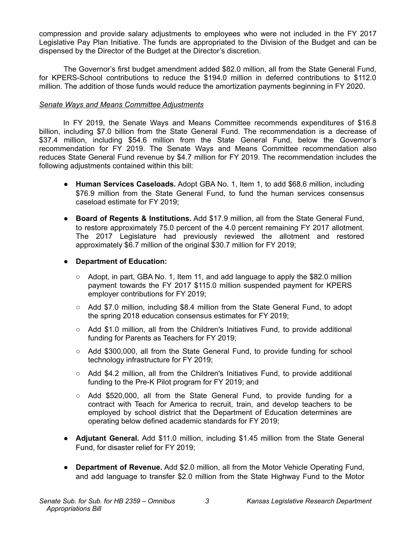compression and provide salary adjustments to employees who were not included in the FY 2017 Legislative Pay Plan Initiative. The funds are appropriated to the Division of the Budget and can be dispensed by the Director of the Budget at the Director's discretion.

The Governor's first budget amendment added \$82.0 million, all from the State General Fund, for KPERS-School contributions to reduce the \$194.0 million in deferred contributions to \$112.0 million. The addition of those funds would reduce the amortization payments beginning in FY 2020.

#### *Senate Ways and Means Committee Adjustments*

In FY 2019, the Senate Ways and Means Committee recommends expenditures of \$16.8 billion, including \$7.0 billion from the State General Fund. The recommendation is a decrease of \$37.4 million, including \$54.6 million from the State General Fund, below the Governor's recommendation for FY 2019. The Senate Ways and Means Committee recommendation also reduces State General Fund revenue by \$4.7 million for FY 2019. The recommendation includes the following adjustments contained within this bill:

- **Human Services Caseloads.** Adopt GBA No. 1, Item 1, to add \$68.6 million, including \$76.9 million from the State General Fund, to fund the human services consensus caseload estimate for FY 2019;
- **Board of Regents & Institutions.** Add \$17.9 million, all from the State General Fund, to restore approximately 75.0 percent of the 4.0 percent remaining FY 2017 allotment. The 2017 Legislature had previously reviewed the allotment and restored approximately \$6.7 million of the original \$30.7 million for FY 2019;

#### ● **Department of Education:**

- $\circ$  Adopt, in part, GBA No. 1, Item 11, and add language to apply the \$82.0 million payment towards the FY 2017 \$115.0 million suspended payment for KPERS employer contributions for FY 2019;
- Add \$7.0 million, including \$8.4 million from the State General Fund, to adopt the spring 2018 education consensus estimates for FY 2019;
- Add \$1.0 million, all from the Children's Initiatives Fund, to provide additional funding for Parents as Teachers for FY 2019;
- Add \$300,000, all from the State General Fund, to provide funding for school technology infrastructure for FY 2019;
- $\circ$  Add \$4.2 million, all from the Children's Initiatives Fund, to provide additional funding to the Pre-K Pilot program for FY 2019; and
- Add \$520,000, all from the State General Fund, to provide funding for a contract with Teach for America to recruit, train, and develop teachers to be employed by school district that the Department of Education determines are operating below defined academic standards for FY 2019;
- **Adjutant General.** Add \$11.0 million, including \$1.45 million from the State General Fund, for disaster relief for FY 2019;
- **Department of Revenue.** Add \$2.0 million, all from the Motor Vehicle Operating Fund, and add language to transfer \$2.0 million from the State Highway Fund to the Motor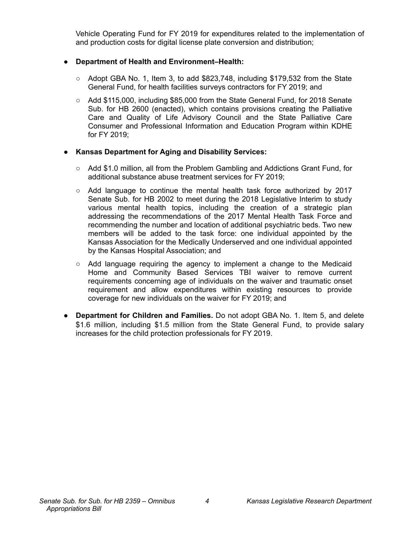Vehicle Operating Fund for FY 2019 for expenditures related to the implementation of and production costs for digital license plate conversion and distribution;

#### **Department of Health and Environment–Health:**

- $\circ$  Adopt GBA No. 1, Item 3, to add \$823,748, including \$179,532 from the State General Fund, for health facilities surveys contractors for FY 2019; and
- Add \$115,000, including \$85,000 from the State General Fund, for 2018 Senate Sub. for HB 2600 (enacted), which contains provisions creating the Palliative Care and Quality of Life Advisory Council and the State Palliative Care Consumer and Professional Information and Education Program within KDHE for FY 2019;

#### ● **Kansas Department for Aging and Disability Services:**

- Add \$1.0 million, all from the Problem Gambling and Addictions Grant Fund, for additional substance abuse treatment services for FY 2019;
- Add language to continue the mental health task force authorized by 2017 Senate Sub. for HB 2002 to meet during the 2018 Legislative Interim to study various mental health topics, including the creation of a strategic plan addressing the recommendations of the 2017 Mental Health Task Force and recommending the number and location of additional psychiatric beds. Two new members will be added to the task force: one individual appointed by the Kansas Association for the Medically Underserved and one individual appointed by the Kansas Hospital Association; and
- Add language requiring the agency to implement a change to the Medicaid Home and Community Based Services TBI waiver to remove current requirements concerning age of individuals on the waiver and traumatic onset requirement and allow expenditures within existing resources to provide coverage for new individuals on the waiver for FY 2019; and
- **Department for Children and Families.** Do not adopt GBA No. 1. Item 5, and delete \$1.6 million, including \$1.5 million from the State General Fund, to provide salary increases for the child protection professionals for FY 2019.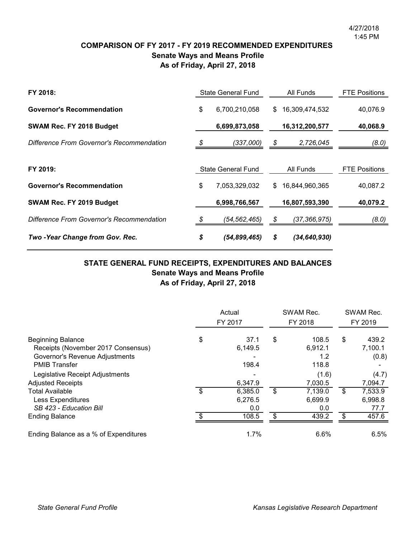### **COMPARISON OF FY 2017 - FY 2019 RECOMMENDED EXPENDITURES Senate Ways and Means Profile As of Friday, April 27, 2018**

| FY 2018:                                  | <b>State General Fund</b> |                           |    | All Funds        | <b>FTE Positions</b> |
|-------------------------------------------|---------------------------|---------------------------|----|------------------|----------------------|
| <b>Governor's Recommendation</b>          | \$                        | 6,700,210,058             |    | \$16,309,474,532 | 40,076.9             |
| SWAM Rec. FY 2018 Budget                  |                           | 6,699,873,058             |    | 16,312,200,577   | 40,068.9             |
| Difference From Governor's Recommendation | \$                        | (337,000)                 | \$ | 2,726,045        | (8.0)                |
| FY 2019:                                  |                           | <b>State General Fund</b> |    | All Funds        | <b>FTE Positions</b> |
|                                           |                           |                           |    |                  |                      |
| <b>Governor's Recommendation</b>          | \$                        | 7,053,329,032             | \$ | 16.844.960.365   | 40,087.2             |
| SWAM Rec. FY 2019 Budget                  |                           | 6,998,766,567             |    | 16,807,593,390   | 40,079.2             |
| Difference From Governor's Recommendation |                           | (54,562,465)              |    | (37, 366, 975)   | (8.0)                |
| Two - Year Change from Gov. Rec.          | \$                        | (54, 899, 465)            | S  | (34, 640, 930)   |                      |

## **STATE GENERAL FUND RECEIPTS, EXPENDITURES AND BALANCES Senate Ways and Means Profile As of Friday, April 27, 2018**

|                                                                                                                          |    | Actual<br>FY 2017         | SWAM Rec.<br>FY 2018                   | SWAM Rec.<br>FY 2019             |
|--------------------------------------------------------------------------------------------------------------------------|----|---------------------------|----------------------------------------|----------------------------------|
| <b>Beginning Balance</b><br>Receipts (November 2017 Consensus)<br>Governor's Revenue Adjustments<br><b>PMIB Transfer</b> | \$ | 37.1<br>6,149.5<br>198.4  | \$<br>108.5<br>6,912.1<br>1.2<br>118.8 | \$<br>439.2<br>7,100.1<br>(0.8)  |
| Legislative Receipt Adjustments<br><b>Adjusted Receipts</b>                                                              |    | 6,347.9                   | (1.6)<br>7,030.5                       | (4.7)<br>7,094.7                 |
| <b>Total Available</b><br>Less Expenditures<br>SB 423 - Education Bill                                                   | \$ | 6,385.0<br>6,276.5<br>0.0 | \$<br>7,139.0<br>6,699.9<br>0.0        | \$<br>7,533.9<br>6,998.8<br>77.7 |
| <b>Ending Balance</b>                                                                                                    | ደ  | 108.5                     | \$<br>439.2                            | \$<br>457.6                      |
| Ending Balance as a % of Expenditures                                                                                    |    | 1.7%                      | 6.6%                                   | 6.5%                             |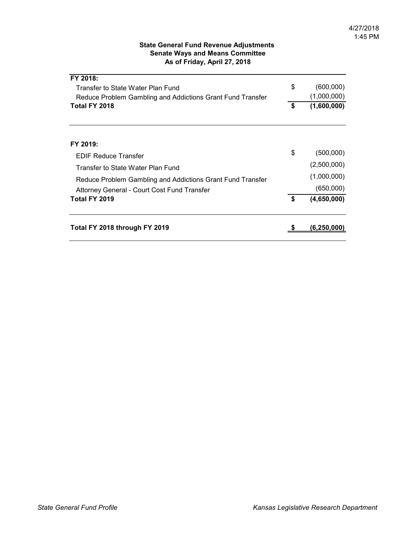#### **State General Fund Revenue Adjustments Senate Ways and Means Committee As of Friday, April 27, 2018**

| Total FY 2018 through FY 2019                                               | (6.250.00                        |
|-----------------------------------------------------------------------------|----------------------------------|
| <b>Total FY 2019</b>                                                        | \$<br>(4,650,000)                |
| Attorney General - Court Cost Fund Transfer                                 | (650,000)                        |
| Reduce Problem Gambling and Addictions Grant Fund Transfer                  | (1,000,000)                      |
| Transfer to State Water Plan Fund                                           | (2,500,000)                      |
| <b>EDIF Reduce Transfer</b>                                                 | \$<br>(500,000)                  |
| FY 2019:                                                                    |                                  |
|                                                                             |                                  |
| Reduce Problem Gambling and Addictions Grant Fund Transfer<br>Total FY 2018 | \$<br>(1,000,000)<br>(1,600,000) |
| Transfer to State Water Plan Fund                                           | \$<br>(600,000)                  |
| FY 2018:                                                                    |                                  |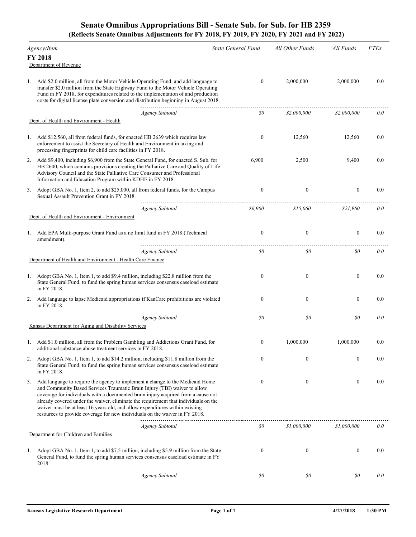#### **Senate Omnibus Appropriations Bill - Senate Sub. for Sub. for HB 2359 (Reflects Senate Omnibus Adjustments for FY 2018, FY 2019, FY 2020, FY 2021 and FY 2022)**

|    | Agency/Item                                                                                                                                                                                                                                                                                                                                                                                                                                                                                           |                        | <b>State General Fund</b> | All Other Funds  | All Funds        | <b>FTEs</b> |
|----|-------------------------------------------------------------------------------------------------------------------------------------------------------------------------------------------------------------------------------------------------------------------------------------------------------------------------------------------------------------------------------------------------------------------------------------------------------------------------------------------------------|------------------------|---------------------------|------------------|------------------|-------------|
|    | <b>FY 2018</b>                                                                                                                                                                                                                                                                                                                                                                                                                                                                                        |                        |                           |                  |                  |             |
|    | Department of Revenue                                                                                                                                                                                                                                                                                                                                                                                                                                                                                 |                        |                           |                  |                  |             |
| 1. | Add \$2.0 million, all from the Motor Vehicle Operating Fund, and add language to<br>transfer \$2.0 million from the State Highway Fund to the Motor Vehicle Operating<br>Fund in FY 2018, for expenditures related to the implementation of and production<br>costs for digital license plate conversion and distribution beginning in August 2018.                                                                                                                                                  |                        | $\boldsymbol{0}$          | 2,000,000        | 2,000,000        | 0.0         |
|    |                                                                                                                                                                                                                                                                                                                                                                                                                                                                                                       | <b>Agency Subtotal</b> | 80                        | \$2,000,000      | \$2,000,000      | 0.0         |
|    | Dept. of Health and Environment - Health                                                                                                                                                                                                                                                                                                                                                                                                                                                              |                        |                           |                  |                  |             |
| 1. | Add \$12,560, all from federal funds, for enacted HB 2639 which requires law<br>enforcement to assist the Secretary of Health and Environment in taking and<br>processing fingerprints for child care facilities in FY 2018.                                                                                                                                                                                                                                                                          |                        | $\boldsymbol{0}$          | 12,560           | 12,560           | 0.0         |
| 2. | Add \$9,400, including \$6,900 from the State General Fund, for enacted S. Sub. for<br>HB 2600, which contains provisions creating the Palliative Care and Quality of Life<br>Advisory Council and the State Palliative Care Consumer and Professional<br>Information and Education Program within KDHE in FY 2018.                                                                                                                                                                                   |                        | 6,900                     | 2,500            | 9,400            | 0.0         |
| 3. | Adopt GBA No. 1, Item 2, to add \$25,000, all from federal funds, for the Campus<br>Sexual Assault Prevention Grant in FY 2018.                                                                                                                                                                                                                                                                                                                                                                       |                        | $\mathbf{0}$              | $\boldsymbol{0}$ | $\boldsymbol{0}$ | 0.0         |
|    |                                                                                                                                                                                                                                                                                                                                                                                                                                                                                                       | <b>Agency Subtotal</b> | \$6,900                   | \$15,060         | \$21,960         | 0.0         |
|    | Dept. of Health and Environment - Environment                                                                                                                                                                                                                                                                                                                                                                                                                                                         |                        |                           |                  |                  |             |
| 1. | Add EPA Multi-purpose Grant Fund as a no limit fund in FY 2018 (Technical<br>amendment).                                                                                                                                                                                                                                                                                                                                                                                                              |                        | $\boldsymbol{0}$          | $\boldsymbol{0}$ | $\boldsymbol{0}$ | 0.0         |
|    |                                                                                                                                                                                                                                                                                                                                                                                                                                                                                                       | <b>Agency Subtotal</b> | 80                        | \$0\$            | \$0\$            | 0.0         |
|    | Department of Health and Environment - Health Care Finance                                                                                                                                                                                                                                                                                                                                                                                                                                            |                        |                           |                  |                  |             |
| 1. | Adopt GBA No. 1, Item 1, to add \$9.4 million, including \$22.8 million from the<br>State General Fund, to fund the spring human services consensus caseload estimate<br>in FY 2018.                                                                                                                                                                                                                                                                                                                  |                        | $\boldsymbol{0}$          | $\boldsymbol{0}$ | $\boldsymbol{0}$ | 0.0         |
| 2. | Add language to lapse Medicaid appropriations if KanCare prohibitions are violated<br>in FY 2018.                                                                                                                                                                                                                                                                                                                                                                                                     |                        | $\boldsymbol{0}$          | $\boldsymbol{0}$ | $\boldsymbol{0}$ | 0.0         |
|    |                                                                                                                                                                                                                                                                                                                                                                                                                                                                                                       | <b>Agency Subtotal</b> | \$0\$                     | \$0              | \$0              | 0.0         |
|    | Kansas Department for Aging and Disability Services                                                                                                                                                                                                                                                                                                                                                                                                                                                   |                        |                           |                  |                  |             |
|    | 1. Add \$1.0 million, all from the Problem Gambling and Addictions Grant Fund, for                                                                                                                                                                                                                                                                                                                                                                                                                    |                        | $\boldsymbol{0}$          | 1.000.000        | 1,000,000        | 0.0         |
|    | additional substance abuse treatment services in FY 2018.                                                                                                                                                                                                                                                                                                                                                                                                                                             |                        |                           |                  |                  |             |
| 2. | Adopt GBA No. 1, Item 1, to add \$14.2 million, including \$11.8 million from the<br>State General Fund, to fund the spring human services consensus caseload estimate<br>in FY 2018.                                                                                                                                                                                                                                                                                                                 |                        | $\boldsymbol{0}$          | $\mathbf{0}$     | $\boldsymbol{0}$ | 0.0         |
| 3. | Add language to require the agency to implement a change to the Medicaid Home<br>and Community Based Services Traumatic Brain Injury (TBI) waiver to allow<br>coverage for individuals with a documented brain injury acquired from a cause not<br>already covered under the waiver, eliminate the requirement that individuals on the<br>waiver must be at least 16 years old, and allow expenditures within existing<br>resources to provide coverage for new individuals on the waiver in FY 2018. |                        | $\mathbf{0}$              | $\boldsymbol{0}$ | $\boldsymbol{0}$ | 0.0         |
|    |                                                                                                                                                                                                                                                                                                                                                                                                                                                                                                       | <b>Agency Subtotal</b> | $\$0$                     | \$1,000,000      | \$1,000,000      | 0.0         |
|    | Department for Children and Families                                                                                                                                                                                                                                                                                                                                                                                                                                                                  |                        |                           |                  |                  |             |
| 1. | Adopt GBA No. 1, Item 1, to add \$7.5 million, including \$5.9 million from the State<br>General Fund, to fund the spring human services consensus caseload estimate in FY<br>2018.                                                                                                                                                                                                                                                                                                                   |                        | $\boldsymbol{0}$          | $\boldsymbol{0}$ | $\boldsymbol{0}$ | 0.0         |
|    |                                                                                                                                                                                                                                                                                                                                                                                                                                                                                                       | <b>Agency Subtotal</b> | \$0                       | 80               | \$0              | 0.0         |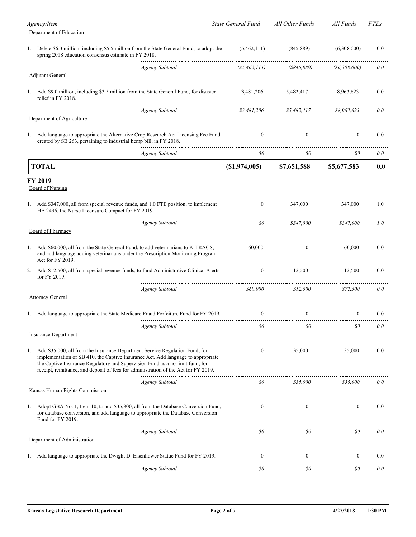|    | Agency/Item<br>Department of Education                                                                                                                                                                                                                                                                                                   | <b>State General Fund</b> | All Other Funds  | All Funds           | <i>FTEs</i> |
|----|------------------------------------------------------------------------------------------------------------------------------------------------------------------------------------------------------------------------------------------------------------------------------------------------------------------------------------------|---------------------------|------------------|---------------------|-------------|
|    | 1. Delete \$6.3 million, including \$5.5 million from the State General Fund, to adopt the<br>spring 2018 education consensus estimate in FY 2018.                                                                                                                                                                                       | (5,462,111)               | (845, 889)       | (6,308,000)         | 0.0         |
|    | <b>Agency Subtotal</b><br><b>Adjutant General</b>                                                                                                                                                                                                                                                                                        | (S5, 462, 111)            | (S845, 889)      | $($ \$6,308,000 $)$ | 0.0         |
|    | 1. Add \$9.0 million, including \$3.5 million from the State General Fund, for disaster<br>relief in FY 2018.                                                                                                                                                                                                                            | 3,481,206<br>.            | 5,482,417        | 8,963,623           | 0.0         |
|    | <b>Agency Subtotal</b><br>Department of Agriculture                                                                                                                                                                                                                                                                                      | \$3,481,206               | \$5,482,417      | \$8,963,623         | 0.0         |
|    | 1. Add language to appropriate the Alternative Crop Research Act Licensing Fee Fund<br>created by SB 263, pertaining to industrial hemp bill, in FY 2018.                                                                                                                                                                                | $\overline{0}$            | $\boldsymbol{0}$ | $\mathbf{0}$        | 0.0         |
|    | Agency Subtotal                                                                                                                                                                                                                                                                                                                          | 80                        | 80               | 80                  | 0.0         |
|    | <b>TOTAL</b>                                                                                                                                                                                                                                                                                                                             | (S1,974,005)              | \$7,651,588      | \$5,677,583         | 0.0         |
|    | FY 2019<br>Board of Nursing                                                                                                                                                                                                                                                                                                              |                           |                  |                     |             |
|    | 1. Add \$347,000, all from special revenue funds, and 1.0 FTE position, to implement<br>HB 2496, the Nurse Licensure Compact for FY 2019.                                                                                                                                                                                                | $\bf{0}$                  | 347,000          | 347,000             | 1.0         |
|    | <b>Agency Subtotal</b>                                                                                                                                                                                                                                                                                                                   | $\mathfrak{g}_0$          | \$347,000        | \$347,000           | 1.0         |
|    | <b>Board of Pharmacy</b>                                                                                                                                                                                                                                                                                                                 |                           |                  |                     |             |
| 1. | Add \$60,000, all from the State General Fund, to add veterinarians to K-TRACS,<br>and add language adding veterinarians under the Prescription Monitoring Program<br>Act for FY 2019.                                                                                                                                                   | 60,000                    | $\mathbf{0}$     | 60,000              | $0.0\,$     |
| 2. | Add \$12,500, all from special revenue funds, to fund Administrative Clinical Alerts<br>for FY 2019.                                                                                                                                                                                                                                     | $\bf{0}$                  | 12,500           | 12,500              | 0.0         |
|    | <b>Agency Subtotal</b><br><b>Attorney General</b>                                                                                                                                                                                                                                                                                        | \$60,000                  | \$12,500         | \$72.500            | 0.0         |
|    | 1. Add language to appropriate the State Medicare Fraud Forfeiture Fund for FY 2019.                                                                                                                                                                                                                                                     | $\bf{0}$                  | $\boldsymbol{0}$ | $\boldsymbol{0}$    | 0.0         |
|    | <b>Agency Subtotal</b><br><b>Insurance Department</b>                                                                                                                                                                                                                                                                                    | $\mathfrak{g}_0$          | $\$0$            | 80                  | 0.0         |
| 1. | Add \$35,000, all from the Insurance Department Service Regulation Fund, for<br>implementation of SB 410, the Captive Insurance Act. Add language to appropriate<br>the Captive Insurance Regulatory and Supervision Fund as a no limit fund, for<br>receipt, remittance, and deposit of fees for administration of the Act for FY 2019. | $\boldsymbol{0}$          | 35,000           | 35,000              | 0.0         |
|    | <b>Agency Subtotal</b><br>Kansas Human Rights Commission                                                                                                                                                                                                                                                                                 | \$0                       | \$35,000         | \$35,000            | 0.0         |
| 1. | Adopt GBA No. 1, Item 10, to add \$35,800, all from the Database Conversion Fund,<br>for database conversion, and add language to appropriate the Database Conversion<br>Fund for FY 2019.                                                                                                                                               | $\boldsymbol{0}$          | $\boldsymbol{0}$ | $\mathbf{0}$        | 0.0         |
|    | Agency Subtotal<br>Department of Administration                                                                                                                                                                                                                                                                                          | $\mathfrak{g}_0$          | $\mathfrak{g}_0$ | 80                  | 0.0         |
| ı. | Add language to appropriate the Dwight D. Eisenhower Statue Fund for FY 2019.                                                                                                                                                                                                                                                            | $\bf{0}$                  | $\boldsymbol{0}$ | $\mathbf{0}$        | $0.0\,$     |
|    | <b>Agency Subtotal</b>                                                                                                                                                                                                                                                                                                                   | \$0                       | \$0              | \$0                 | 0.0         |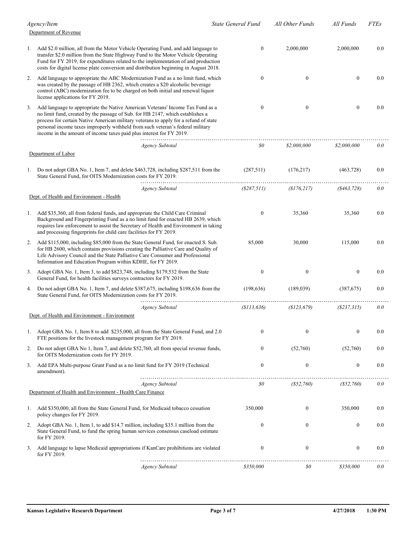|    | Agency/Item                                                                                                                                                                                                                                                                                                                                                                                                        | <b>State General Fund</b> |                  | All Other Funds  | All Funds         | <i>FTEs</i> |
|----|--------------------------------------------------------------------------------------------------------------------------------------------------------------------------------------------------------------------------------------------------------------------------------------------------------------------------------------------------------------------------------------------------------------------|---------------------------|------------------|------------------|-------------------|-------------|
|    | Department of Revenue                                                                                                                                                                                                                                                                                                                                                                                              |                           |                  |                  |                   |             |
| 1. | Add \$2.0 million, all from the Motor Vehicle Operating Fund, and add language to<br>transfer \$2.0 million from the State Highway Fund to the Motor Vehicle Operating<br>Fund for FY 2019, for expenditures related to the implementation of and production<br>costs for digital license plate conversion and distribution beginning in August 2018.                                                              |                           | $\mathbf{0}$     | 2,000,000        | 2,000,000         | 0.0         |
| 2. | Add language to appropriate the ABC Modernization Fund as a no limit fund, which<br>was created by the passage of HB 2362, which creates a \$20 alcoholic beverage<br>control (ABC) modernization fee to be charged on both initial and renewal liquor<br>license applications for FY 2019.                                                                                                                        |                           | $\mathbf{0}$     | $\mathbf{0}$     | $\theta$          | 0.0         |
| 3. | Add language to appropriate the Native American Veterans' Income Tax Fund as a<br>no limit fund, created by the passage of Sub. for HB 2147, which establishes a<br>process for certain Native American military veterans to apply for a refund of state<br>personal income taxes improperly withheld from such veteran's federal military<br>income in the amount of income taxes paid plus interest for FY 2019. |                           | $\theta$         | $\overline{0}$   | $\theta$          | 0.0         |
|    | <b>Agency Subtotal</b>                                                                                                                                                                                                                                                                                                                                                                                             |                           | 80               | \$2,000,000      | \$2,000,000       | 0.0         |
|    | Department of Labor                                                                                                                                                                                                                                                                                                                                                                                                |                           |                  |                  |                   |             |
| 1. | Do not adopt GBA No. 1, Item 7, and delete \$463,728, including \$287,511 from the<br>State General Fund, for OITS Modernization costs for FY 2019.                                                                                                                                                                                                                                                                |                           | (287,511)        | (176, 217)       | (463, 728)        | 0.0         |
|    | <b>Agency Subtotal</b>                                                                                                                                                                                                                                                                                                                                                                                             |                           | ( \$287, 511)    | (S176, 217)      | (8463, 728)       | 0.0         |
|    | Dept. of Health and Environment - Health                                                                                                                                                                                                                                                                                                                                                                           |                           |                  |                  |                   |             |
| 1. | Add \$35,360, all from federal funds, and appropriate the Child Care Criminal<br>Background and Fingerprinting Fund as a no limit fund for enacted HB 2639, which<br>requires law enforcement to assist the Secretary of Health and Environment in taking<br>and processing fingerprints for child care facilities for FY 2019.                                                                                    |                           | $\Omega$         | 35,360           | 35,360            | $0.0\,$     |
| 2. | Add \$115,000, including \$85,000 from the State General Fund, for enacted S. Sub.<br>for HB 2600, which contains provisions creating the Palliative Care and Quality of<br>Life Advisory Council and the State Palliative Care Consumer and Professional<br>Information and Education Program within KDHE, for FY 2019.                                                                                           |                           | 85,000           | 30,000           | 115,000           | $0.0\,$     |
| 3. | Adopt GBA No. 1, Item 3, to add \$823,748, including \$179,532 from the State<br>General Fund, for health facilities surveys contractors for FY 2019.                                                                                                                                                                                                                                                              |                           | $\Omega$         | $\mathbf{0}$     | $\theta$          | 0.0         |
|    | 4. Do not adopt GBA No. 1, Item 7, and delete \$387,675, including \$198,636 from the<br>State General Fund, for OITS Modernization costs for FY 2019.                                                                                                                                                                                                                                                             |                           | (198, 636)       | (189.039)        | (387,675)         | 0.0         |
|    | <b>Agency Subtotal</b>                                                                                                                                                                                                                                                                                                                                                                                             |                           | (S113, 636)      | (\$123,679)      | $($ \$237,315 $)$ | 0.0         |
|    | Dept. of Health and Environment - Environment                                                                                                                                                                                                                                                                                                                                                                      |                           |                  |                  |                   |             |
| 1. | Adopt GBA No. 1, Item 8 to add \$235,000, all from the State General Fund, and 2.0<br>FTE positions for the livestock management program for FY 2019.                                                                                                                                                                                                                                                              |                           | $\mathbf{0}$     | $\mathbf{0}$     | $\mathbf{0}$      | 0.0         |
| 2. | Do not adopt GBA No 1, Item 7, and delete \$52,760, all from special revenue funds,<br>for OITS Modernization costs for FY 2019.                                                                                                                                                                                                                                                                                   |                           | $\boldsymbol{0}$ | (52,760)         | (52,760)          | 0.0         |
| 3. | Add EPA Multi-purpose Grant Fund as a no limit fund for FY 2019 (Technical<br>amendment).                                                                                                                                                                                                                                                                                                                          |                           | $\mathbf{0}$     | $\boldsymbol{0}$ | $\boldsymbol{0}$  | 0.0         |
|    | <b>Agency Subtotal</b>                                                                                                                                                                                                                                                                                                                                                                                             |                           | $\mathfrak{g}_0$ | (S52,760)        | (S52,760)         | 0.0         |
|    | Department of Health and Environment - Health Care Finance                                                                                                                                                                                                                                                                                                                                                         |                           |                  |                  |                   |             |
| 1. | Add \$350,000, all from the State General Fund, for Medicaid tobacco cessation<br>policy changes for FY 2019.                                                                                                                                                                                                                                                                                                      |                           | 350,000          | $\boldsymbol{0}$ | 350,000           | 0.0         |
| 2. | Adopt GBA No. 1, Item 1, to add \$14.7 million, including \$35.1 million from the<br>State General Fund, to fund the spring human services consensus caseload estimate<br>for FY 2019.                                                                                                                                                                                                                             |                           | $\overline{0}$   | $\mathbf{0}$     | $\mathbf{0}$      | $0.0\,$     |
| 3. | Add language to lapse Medicaid appropriations if KanCare prohibitions are violated<br>for FY 2019.                                                                                                                                                                                                                                                                                                                 |                           | $\Omega$         | $\boldsymbol{0}$ | $\mathbf{0}$      | 0.0         |
|    | <b>Agency Subtotal</b>                                                                                                                                                                                                                                                                                                                                                                                             |                           | \$350,000        | \$0              | \$350,000         | 0.0         |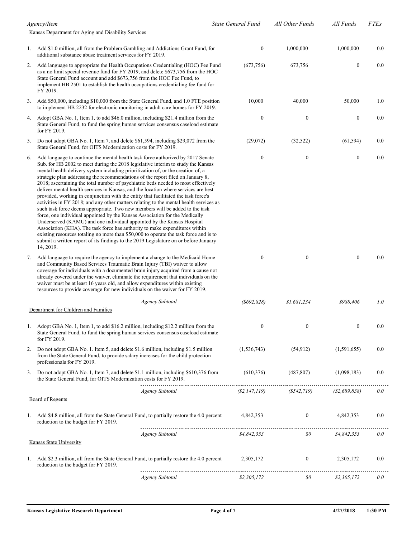|    | Agency/Item                                                                                                                                                                                                                                                                                                                                                                                                                                                                                                                                                                                                                                                                                                                                                                                                                                                                                                                                                                                                                                                                                                                                                                                                                  |                        | <b>State General Fund</b> | All Other Funds  | All Funds           | <b>FTEs</b> |
|----|------------------------------------------------------------------------------------------------------------------------------------------------------------------------------------------------------------------------------------------------------------------------------------------------------------------------------------------------------------------------------------------------------------------------------------------------------------------------------------------------------------------------------------------------------------------------------------------------------------------------------------------------------------------------------------------------------------------------------------------------------------------------------------------------------------------------------------------------------------------------------------------------------------------------------------------------------------------------------------------------------------------------------------------------------------------------------------------------------------------------------------------------------------------------------------------------------------------------------|------------------------|---------------------------|------------------|---------------------|-------------|
|    | Kansas Department for Aging and Disability Services                                                                                                                                                                                                                                                                                                                                                                                                                                                                                                                                                                                                                                                                                                                                                                                                                                                                                                                                                                                                                                                                                                                                                                          |                        |                           |                  |                     |             |
|    | 1. Add \$1.0 million, all from the Problem Gambling and Addictions Grant Fund, for<br>additional substance abuse treatment services for FY 2019.                                                                                                                                                                                                                                                                                                                                                                                                                                                                                                                                                                                                                                                                                                                                                                                                                                                                                                                                                                                                                                                                             |                        | $\boldsymbol{0}$          | 1,000,000        | 1,000,000           | 0.0         |
| 2. | Add language to appropriate the Health Occupations Credentialing (HOC) Fee Fund<br>as a no limit special revenue fund for FY 2019, and delete \$673,756 from the HOC<br>State General Fund account and add \$673,756 from the HOC Fee Fund, to<br>implement HB 2501 to establish the health occupations credentialing fee fund for<br>FY 2019.                                                                                                                                                                                                                                                                                                                                                                                                                                                                                                                                                                                                                                                                                                                                                                                                                                                                               |                        | (673,756)                 | 673,756          | $\mathbf{0}$        | 0.0         |
| 3. | Add \$50,000, including \$10,000 from the State General Fund, and 1.0 FTE position<br>to implement HB 2232 for electronic monitoring in adult care homes for FY 2019.                                                                                                                                                                                                                                                                                                                                                                                                                                                                                                                                                                                                                                                                                                                                                                                                                                                                                                                                                                                                                                                        |                        | 10,000                    | 40,000           | 50,000              | 1.0         |
| 4. | Adopt GBA No. 1, Item 1, to add \$46.0 million, including \$21.4 million from the<br>State General Fund, to fund the spring human services consensus caseload estimate<br>for FY 2019.                                                                                                                                                                                                                                                                                                                                                                                                                                                                                                                                                                                                                                                                                                                                                                                                                                                                                                                                                                                                                                       |                        | $\boldsymbol{0}$          | $\boldsymbol{0}$ | $\boldsymbol{0}$    | 0.0         |
| 5. | Do not adopt GBA No. 1, Item 7, and delete \$61,594, including \$29,072 from the<br>State General Fund, for OITS Modernization costs for FY 2019.                                                                                                                                                                                                                                                                                                                                                                                                                                                                                                                                                                                                                                                                                                                                                                                                                                                                                                                                                                                                                                                                            |                        | (29,072)                  | (32, 522)        | (61, 594)           | 0.0         |
| 6. | Add language to continue the mental health task force authorized by 2017 Senate<br>Sub. for HB 2002 to meet during the 2018 legislative interim to study the Kansas<br>mental health delivery system including prioritization of, or the creation of, a<br>strategic plan addressing the recommendations of the report filed on January 8,<br>2018; ascertaining the total number of psychiatric beds needed to most effectively<br>deliver mental health services in Kansas, and the location where services are best<br>provided, working in conjunction with the entity that facilitated the task force's<br>activities in FY 2018; and any other matters relating to the mental health services as<br>such task force deems appropriate. Two new members will be added to the task<br>force, one individual appointed by the Kansas Association for the Medically<br>Underserved (KAMU) and one individual appointed by the Kansas Hospital<br>Association (KHA). The task force has authority to make expenditures within<br>existing resources totaling no more than \$50,000 to operate the task force and is to<br>submit a written report of its findings to the 2019 Legislature on or before January<br>14, 2019. |                        | $\boldsymbol{0}$          | $\boldsymbol{0}$ | $\boldsymbol{0}$    | 0.0         |
| 7. | Add language to require the agency to implement a change to the Medicaid Home<br>and Community Based Services Traumatic Brain Injury (TBI) waiver to allow<br>coverage for individuals with a documented brain injury acquired from a cause not<br>already covered under the waiver, eliminate the requirement that individuals on the<br>waiver must be at least 16 years old, and allow expenditures within existing<br>resources to provide coverage for new individuals on the waiver for FY 2019.                                                                                                                                                                                                                                                                                                                                                                                                                                                                                                                                                                                                                                                                                                                       |                        | $\mathbf{0}$              | $\boldsymbol{0}$ | $\mathbf{0}$        | 0.0         |
|    | Department for Children and Families                                                                                                                                                                                                                                                                                                                                                                                                                                                                                                                                                                                                                                                                                                                                                                                                                                                                                                                                                                                                                                                                                                                                                                                         | <b>Agency Subtotal</b> | $($ \$692,828 $)$         | \$1,681,234      | \$988,406           | 1.0         |
| 1. | Adopt GBA No. 1, Item 1, to add \$16.2 million, including \$12.2 million from the<br>State General Fund, to fund the spring human services consensus caseload estimate<br>for FY 2019.                                                                                                                                                                                                                                                                                                                                                                                                                                                                                                                                                                                                                                                                                                                                                                                                                                                                                                                                                                                                                                       |                        | $\boldsymbol{0}$          | $\boldsymbol{0}$ | $\boldsymbol{0}$    | 0.0         |
| 2. | Do not adopt GBA No. 1. Item 5, and delete \$1.6 million, including \$1.5 million<br>from the State General Fund, to provide salary increases for the child protection<br>professionals for FY 2019.                                                                                                                                                                                                                                                                                                                                                                                                                                                                                                                                                                                                                                                                                                                                                                                                                                                                                                                                                                                                                         |                        | (1, 536, 743)             | (54, 912)        | (1,591,655)         | 0.0         |
| 3. | Do not adopt GBA No. 1, Item 7, and delete \$1.1 million, including \$610,376 from<br>the State General Fund, for OITS Modernization costs for FY 2019.                                                                                                                                                                                                                                                                                                                                                                                                                                                                                                                                                                                                                                                                                                                                                                                                                                                                                                                                                                                                                                                                      |                        | (610, 376)                | (487, 807)       | (1,098,183)         | 0.0         |
|    |                                                                                                                                                                                                                                                                                                                                                                                                                                                                                                                                                                                                                                                                                                                                                                                                                                                                                                                                                                                                                                                                                                                                                                                                                              | <b>Agency Subtotal</b> | (S2, 147, 119)            | (S542, 719)      | $($ \$2,689,838 $)$ | 0.0         |
|    | <b>Board of Regents</b>                                                                                                                                                                                                                                                                                                                                                                                                                                                                                                                                                                                                                                                                                                                                                                                                                                                                                                                                                                                                                                                                                                                                                                                                      |                        |                           |                  |                     |             |
|    | 1. Add \$4.8 million, all from the State General Fund, to partially restore the 4.0 percent<br>reduction to the budget for FY 2019.                                                                                                                                                                                                                                                                                                                                                                                                                                                                                                                                                                                                                                                                                                                                                                                                                                                                                                                                                                                                                                                                                          |                        | 4,842,353                 | $\boldsymbol{0}$ | 4,842,353           | 0.0         |
|    |                                                                                                                                                                                                                                                                                                                                                                                                                                                                                                                                                                                                                                                                                                                                                                                                                                                                                                                                                                                                                                                                                                                                                                                                                              | <b>Agency Subtotal</b> | \$4,842,353               | 80               | \$4,842,353         | 0.0         |
|    | <b>Kansas State University</b>                                                                                                                                                                                                                                                                                                                                                                                                                                                                                                                                                                                                                                                                                                                                                                                                                                                                                                                                                                                                                                                                                                                                                                                               |                        |                           |                  |                     |             |
| 1. | Add \$2.3 million, all from the State General Fund, to partially restore the 4.0 percent<br>reduction to the budget for FY 2019.                                                                                                                                                                                                                                                                                                                                                                                                                                                                                                                                                                                                                                                                                                                                                                                                                                                                                                                                                                                                                                                                                             |                        | 2,305,172                 | 0                | 2,305,172           | $0.0\,$     |
|    |                                                                                                                                                                                                                                                                                                                                                                                                                                                                                                                                                                                                                                                                                                                                                                                                                                                                                                                                                                                                                                                                                                                                                                                                                              | <b>Agency Subtotal</b> | \$2,305,172               | \$0              | \$2,305,172         | 0.0         |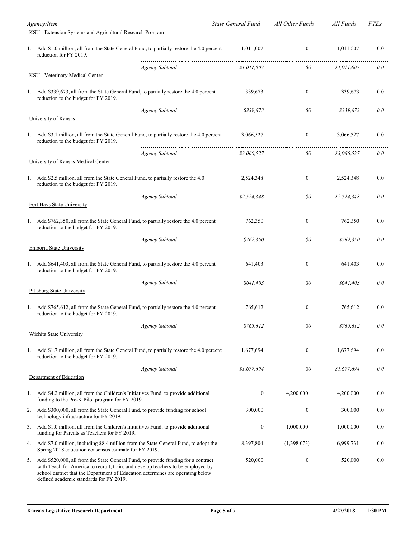|    | Agency/Item                                                                                                                                                                                                                                                                                         |                        | State General Fund | All Other Funds                             | All Funds   | <i>FTEs</i> |
|----|-----------------------------------------------------------------------------------------------------------------------------------------------------------------------------------------------------------------------------------------------------------------------------------------------------|------------------------|--------------------|---------------------------------------------|-------------|-------------|
|    | KSU - Extension Systems and Agricultural Research Program                                                                                                                                                                                                                                           |                        |                    |                                             |             |             |
| 1. | Add \$1.0 million, all from the State General Fund, to partially restore the 4.0 percent<br>reduction for FY 2019.                                                                                                                                                                                  |                        | 1,011,007          | $\boldsymbol{0}$                            | 1,011,007   | 0.0         |
|    |                                                                                                                                                                                                                                                                                                     | <b>Agency Subtotal</b> | \$1,011,007        | 80                                          | \$1,011,007 | 0.0         |
|    | <b>KSU</b> - Veterinary Medical Center                                                                                                                                                                                                                                                              |                        |                    |                                             |             |             |
|    | 1. Add \$339,673, all from the State General Fund, to partially restore the 4.0 percent<br>reduction to the budget for FY 2019.                                                                                                                                                                     |                        | 339,673            | $\boldsymbol{0}$                            | 339,673     | 0.0         |
|    |                                                                                                                                                                                                                                                                                                     | <b>Agency Subtotal</b> | \$339,673          | $\mathfrak{so}$                             | \$339,673   | 0.0         |
|    | University of Kansas                                                                                                                                                                                                                                                                                |                        |                    |                                             |             |             |
|    | 1. Add \$3.1 million, all from the State General Fund, to partially restore the 4.0 percent<br>reduction to the budget for FY 2019.                                                                                                                                                                 |                        | 3,066,527          | $\boldsymbol{0}$                            | 3,066,527   | 0.0         |
|    |                                                                                                                                                                                                                                                                                                     | <b>Agency Subtotal</b> | \$3,066,527        | $\mathfrak{so}$                             | \$3,066,527 | 0.0         |
|    | University of Kansas Medical Center                                                                                                                                                                                                                                                                 |                        |                    |                                             |             |             |
|    | 1. Add \$2.5 million, all from the State General Fund, to partially restore the 4.0<br>reduction to the budget for FY 2019.                                                                                                                                                                         |                        | 2,524,348          | $\mathbf{0}$                                | 2,524,348   | 0.0         |
|    |                                                                                                                                                                                                                                                                                                     | <b>Agency Subtotal</b> | \$2,524,348        | 80                                          | \$2,524,348 | 0.0         |
|    | Fort Hays State University                                                                                                                                                                                                                                                                          |                        |                    |                                             |             |             |
|    | 1. Add \$762,350, all from the State General Fund, to partially restore the 4.0 percent<br>reduction to the budget for FY 2019.                                                                                                                                                                     |                        | 762,350            | $\boldsymbol{0}$                            | 762,350     | 0.0         |
|    |                                                                                                                                                                                                                                                                                                     | <b>Agency Subtotal</b> | \$762,350          | $\mathfrak{so}$                             | \$762,350   | 0.0         |
|    | <b>Emporia State University</b>                                                                                                                                                                                                                                                                     |                        |                    |                                             |             |             |
|    | 1. Add \$641,403, all from the State General Fund, to partially restore the 4.0 percent<br>reduction to the budget for FY 2019.                                                                                                                                                                     |                        | 641,403            | $\boldsymbol{0}$                            | 641,403     | 0.0         |
|    |                                                                                                                                                                                                                                                                                                     | <b>Agency Subtotal</b> | \$641,403          | $\mathfrak{so}$                             | \$641,403   | 0.0         |
|    | <b>Pittsburg State University</b>                                                                                                                                                                                                                                                                   |                        |                    |                                             |             |             |
|    | 1. Add \$765,612, all from the State General Fund, to partially restore the 4.0 percent<br>reduction to the budget for FY 2019.                                                                                                                                                                     |                        | 765,612            | $\boldsymbol{0}$                            | 765.612     | 0.0         |
|    |                                                                                                                                                                                                                                                                                                     | Agency Subtotal        | \$765,612          | \$0                                         | \$765,612   | 0.0         |
|    | Wichita State University                                                                                                                                                                                                                                                                            |                        |                    |                                             |             |             |
|    | 1. Add \$1.7 million, all from the State General Fund, to partially restore the 4.0 percent<br>reduction to the budget for FY 2019.                                                                                                                                                                 |                        | 1,677,694          | $\boldsymbol{0}$<br>_______________________ | 1,677,694   | 0.0         |
|    |                                                                                                                                                                                                                                                                                                     | Agency Subtotal        | \$1.677.694        | $\mathfrak{so}$                             | \$1,677,694 | 0.0         |
|    | Department of Education                                                                                                                                                                                                                                                                             |                        |                    |                                             |             |             |
| 1. | Add \$4.2 million, all from the Children's Initiatives Fund, to provide additional<br>funding to the Pre-K Pilot program for FY 2019.                                                                                                                                                               |                        | 0                  | 4,200,000                                   | 4,200,000   | 0.0         |
| 2. | Add \$300,000, all from the State General Fund, to provide funding for school<br>technology infrastructure for FY 2019.                                                                                                                                                                             |                        | 300,000            | $\boldsymbol{0}$                            | 300,000     | 0.0         |
| 3. | Add \$1.0 million, all from the Children's Initiatives Fund, to provide additional<br>funding for Parents as Teachers for FY 2019.                                                                                                                                                                  |                        | $\boldsymbol{0}$   | 1,000,000                                   | 1,000,000   | 0.0         |
| 4. | Add \$7.0 million, including \$8.4 million from the State General Fund, to adopt the<br>Spring 2018 education consensus estimate for FY 2019.                                                                                                                                                       |                        | 8,397,804          | (1,398,073)                                 | 6,999,731   | 0.0         |
| 5. | Add \$520,000, all from the State General Fund, to provide funding for a contract<br>with Teach for America to recruit, train, and develop teachers to be employed by<br>school district that the Department of Education determines are operating below<br>defined academic standards for FY 2019. |                        | 520,000            | $\boldsymbol{0}$                            | 520,000     | 0.0         |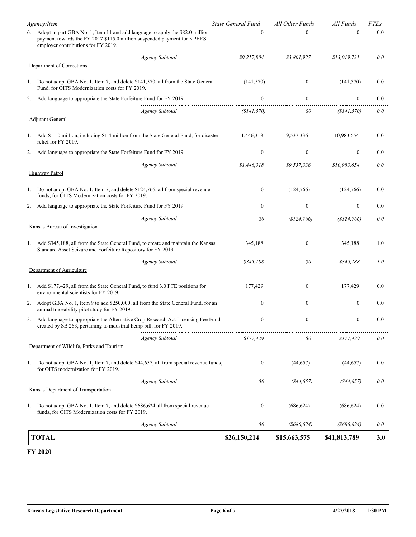|      | <b>TOTAL</b>                                                                                                                                                                                       |                        | \$26,150,214              | \$15,663,575      | \$41,813,789     | 3.0         |
|------|----------------------------------------------------------------------------------------------------------------------------------------------------------------------------------------------------|------------------------|---------------------------|-------------------|------------------|-------------|
|      |                                                                                                                                                                                                    | Agency Subtotal        | \$0                       | $($ \$686,624 $)$ | (8686, 624)      | 0.0         |
| 1.   | Do not adopt GBA No. 1, Item 7, and delete \$686,624 all from special revenue<br>funds, for OITS Modernization costs for FY 2019.                                                                  |                        | $\bf{0}$                  | (686, 624)        | (686, 624)       | $0.0\,$     |
|      | Kansas Department of Transportation                                                                                                                                                                | Agency Subtotal        | 80                        | (844, 657)        | (S44, 657)       | 0.0         |
|      | 1. Do not adopt GBA No. 1, Item 7, and delete \$44,657, all from special revenue funds,<br>for OITS modernization for FY 2019.                                                                     |                        | $\boldsymbol{0}$          | (44, 657)         | (44,657)         | $0.0\,$     |
|      | Department of Wildlife, Parks and Tourism                                                                                                                                                          | <b>Agency Subtotal</b> | \$177,429                 | 80                | \$177,429        | 0.0         |
|      | created by SB 263, pertaining to industrial hemp bill, for FY 2019.                                                                                                                                |                        |                           |                   |                  |             |
| 3.   | Add language to appropriate the Alternative Crop Research Act Licensing Fee Fund                                                                                                                   |                        | $\mathbf{0}$              | $\boldsymbol{0}$  | $\boldsymbol{0}$ | 0.0         |
| 2.   | Adopt GBA No. 1, Item 9 to add \$250,000, all from the State General Fund, for an<br>animal traceability pilot study for FY 2019.                                                                  |                        | $\mathbf{0}$              | $\overline{0}$    | $\boldsymbol{0}$ | 0.0         |
|      | 1. Add \$177,429, all from the State General Fund, to fund 3.0 FTE positions for<br>environmental scientists for FY 2019.                                                                          |                        | 177,429                   | $\overline{0}$    | 177,429          | 0.0         |
|      | Department of Agriculture                                                                                                                                                                          | <b>Agency Subtotal</b> | \$345,188                 | 80                | \$345,188        | 1.0         |
| 1.   | Add \$345,188, all from the State General Fund, to create and maintain the Kansas<br>Standard Asset Seizure and Forfeiture Repository for FY 2019.                                                 |                        | 345,188                   | 0                 | 345,188          | 1.0         |
|      | Kansas Bureau of Investigation                                                                                                                                                                     |                        |                           |                   |                  |             |
|      |                                                                                                                                                                                                    | Agency Subtotal        | 80                        | (\$124,766)       | (\$124,766)      | 0.0         |
| 2.   | Add language to appropriate the State Forfeiture Fund for FY 2019.                                                                                                                                 |                        | $\mathbf{0}$              | $\overline{0}$    | $\boldsymbol{0}$ | 0.0         |
|      | Do not adopt GBA No. 1, Item 7, and delete \$124,766, all from special revenue<br>funds, for OITS Modernization costs for FY 2019.                                                                 |                        | $\mathbf{0}$              | (124,766)         | (124,766)        | 0.0         |
|      | <b>Highway Patrol</b>                                                                                                                                                                              |                        |                           |                   |                  |             |
|      |                                                                                                                                                                                                    | <b>Agency Subtotal</b> | \$1,446,318               | \$9,537,336       | \$10,983,654     | 0.0         |
| 2.   | relief for FY 2019.<br>Add language to appropriate the State Forfeiture Fund for FY 2019.                                                                                                          |                        | $\theta$                  | $\theta$          | 0                | 0.0         |
|      | 1. Add \$11.0 million, including \$1.4 million from the State General Fund, for disaster                                                                                                           |                        | 1,446,318                 | 9,537,336         | 10,983,654       | $0.0\,$     |
|      | <b>Adjutant General</b>                                                                                                                                                                            | <b>Agency Subtotal</b> | (S141, 570)               | 80                | (\$141,570)      | 0.0         |
| 2.   | Add language to appropriate the State Forfeiture Fund for FY 2019.                                                                                                                                 |                        | $\mathbf{0}$              | $\overline{0}$    | $\boldsymbol{0}$ | 0.0         |
| 1. . | Do not adopt GBA No. 1, Item 7, and delete \$141,570, all from the State General<br>Fund, for OITS Modernization costs for FY 2019.                                                                |                        | (141,570)                 | $\mathbf{0}$      | (141, 570)       | 0.0         |
|      | Department of Corrections                                                                                                                                                                          |                        |                           |                   |                  |             |
|      |                                                                                                                                                                                                    | <b>Agency Subtotal</b> | \$9.217.804               | \$3,801,927       | \$13,019,731     | 0.0         |
|      | 6. Adopt in part GBA No. 1, Item 11 and add language to apply the \$82.0 million<br>payment towards the FY 2017 \$115.0 million suspended payment for KPERS<br>employer contributions for FY 2019. |                        | $\theta$                  | 0                 | $\theta$         | 0.0         |
|      | Agency/Item                                                                                                                                                                                        |                        | <b>State General Fund</b> | All Other Funds   | All Funds        | <b>FTEs</b> |

#### **FY 2020**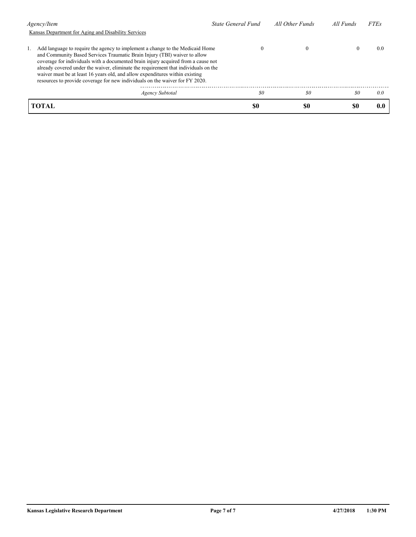| Agency/Item                                                                                                                                                                                                                                                                                                                                                                                                                                                                                            | State General Fund | All Other Funds | All Funds | <b>FTEs</b> |
|--------------------------------------------------------------------------------------------------------------------------------------------------------------------------------------------------------------------------------------------------------------------------------------------------------------------------------------------------------------------------------------------------------------------------------------------------------------------------------------------------------|--------------------|-----------------|-----------|-------------|
| Kansas Department for Aging and Disability Services                                                                                                                                                                                                                                                                                                                                                                                                                                                    |                    |                 |           |             |
| Add language to require the agency to implement a change to the Medicaid Home<br>and Community Based Services Traumatic Brain Injury (TBI) waiver to allow<br>coverage for individuals with a documented brain injury acquired from a cause not<br>already covered under the waiver, eliminate the requirement that individuals on the<br>waiver must be at least 16 years old, and allow expenditures within existing<br>resources to provide coverage for new individuals on the waiver for FY 2020. | O                  | $\theta$        | $\bf{0}$  | (0.0)       |
| Agency Subtotal                                                                                                                                                                                                                                                                                                                                                                                                                                                                                        | \$0                | \$0             | 80        | 0.0         |
| <b>TOTAL</b>                                                                                                                                                                                                                                                                                                                                                                                                                                                                                           | S0                 | \$0             | \$0       |             |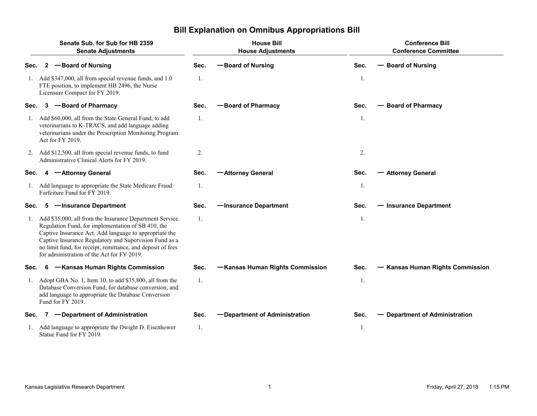|      | Senate Sub. for Sub for HB 2359<br><b>Senate Adjustments</b>                                                                                                                                                                                                                                                                                   |      | <b>House Bill</b><br><b>House Adjustments</b> |      | <b>Conference Bill</b><br><b>Conference Committee</b> |  |  |
|------|------------------------------------------------------------------------------------------------------------------------------------------------------------------------------------------------------------------------------------------------------------------------------------------------------------------------------------------------|------|-----------------------------------------------|------|-------------------------------------------------------|--|--|
| Sec. | -Board of Nursing<br>$\mathbf{2}$                                                                                                                                                                                                                                                                                                              | Sec. | -Board of Nursing                             | Sec. | <b>Board of Nursing</b><br>—                          |  |  |
|      | Add \$347,000, all from special revenue funds, and 1.0<br>FTE position, to implement HB 2496, the Nurse<br>Licensure Compact for FY 2019.                                                                                                                                                                                                      | 1.   |                                               | 1.   |                                                       |  |  |
| Sec. | -Board of Pharmacy<br>3                                                                                                                                                                                                                                                                                                                        | Sec. | -Board of Pharmacy                            | Sec. | <b>Board of Pharmacy</b>                              |  |  |
| 1.   | Add \$60,000, all from the State General Fund, to add<br>veterinarians to K-TRACS, and add language adding<br>veterinarians under the Prescription Monitoring Program<br>Act for FY 2019.                                                                                                                                                      | 1.   |                                               | 1.   |                                                       |  |  |
|      | 2. Add \$12,500, all from special revenue funds, to fund<br>Administrative Clinical Alerts for FY 2019.                                                                                                                                                                                                                                        | 2.   |                                               | 2.   |                                                       |  |  |
| Sec. | -Attorney General<br>4                                                                                                                                                                                                                                                                                                                         | Sec. | -Attorney General                             | Sec. | <b>Attorney General</b>                               |  |  |
|      | Add language to appropriate the State Medicare Fraud<br>Forfeiture Fund for FY 2019.                                                                                                                                                                                                                                                           | 1.   |                                               | 1.   |                                                       |  |  |
| Sec. | -Insurance Department<br>5                                                                                                                                                                                                                                                                                                                     | Sec. | -Insurance Department                         | Sec. | - Insurance Department                                |  |  |
| 1.   | Add \$35,000, all from the Insurance Department Service<br>Regulation Fund, for implementation of SB 410, the<br>Captive Insurance Act. Add language to appropriate the<br>Captive Insurance Regulatory and Supervision Fund as a<br>no limit fund, for receipt, remittance, and deposit of fees<br>for administration of the Act for FY 2019. | 1.   |                                               | 1.   |                                                       |  |  |
| Sec. | -Kansas Human Rights Commission<br>6.                                                                                                                                                                                                                                                                                                          | Sec. | -Kansas Human Rights Commission               | Sec. | <b>Kansas Human Rights Commission</b>                 |  |  |
| 1.   | Adopt GBA No. 1, Item 10, to add \$35,800, all from the<br>Database Conversion Fund, for database conversion, and<br>add language to appropriate the Database Conversion<br>Fund for FY 2019.                                                                                                                                                  | 1.   |                                               | 1.   |                                                       |  |  |
| Sec. | -Department of Administration                                                                                                                                                                                                                                                                                                                  | Sec. | -Department of Administration                 | Sec. | <b>Department of Administration</b>                   |  |  |
|      | Add language to appropriate the Dwight D. Eisenhower<br>Statue Fund for FY 2019.                                                                                                                                                                                                                                                               | 1.   |                                               | 1.   |                                                       |  |  |

# **Bill Explanation on Omnibus Appropriations Bill**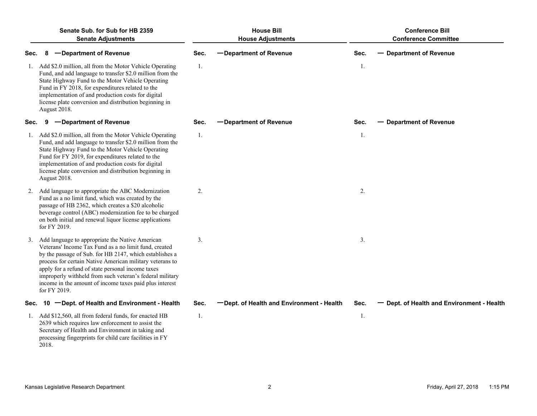|      | Senate Sub, for Sub for HB 2359<br><b>Senate Adjustments</b>                                                                                                                                                                                                                                                                                                                                                                   | <b>House Bill</b><br><b>House Adjustments</b> |                                           |      | <b>Conference Bill</b><br><b>Conference Committee</b> |
|------|--------------------------------------------------------------------------------------------------------------------------------------------------------------------------------------------------------------------------------------------------------------------------------------------------------------------------------------------------------------------------------------------------------------------------------|-----------------------------------------------|-------------------------------------------|------|-------------------------------------------------------|
| Sec. | -Department of Revenue<br>8                                                                                                                                                                                                                                                                                                                                                                                                    | Sec.                                          | -Department of Revenue                    | Sec. | <b>Department of Revenue</b>                          |
|      | 1. Add \$2.0 million, all from the Motor Vehicle Operating<br>Fund, and add language to transfer \$2.0 million from the<br>State Highway Fund to the Motor Vehicle Operating<br>Fund in FY 2018, for expenditures related to the<br>implementation of and production costs for digital<br>license plate conversion and distribution beginning in<br>August 2018.                                                               | 1.                                            |                                           | 1.   |                                                       |
| Sec. | -Department of Revenue<br>9                                                                                                                                                                                                                                                                                                                                                                                                    | Sec.                                          | -Department of Revenue                    | Sec. | <b>Department of Revenue</b>                          |
|      | 1. Add \$2.0 million, all from the Motor Vehicle Operating<br>Fund, and add language to transfer \$2.0 million from the<br>State Highway Fund to the Motor Vehicle Operating<br>Fund for FY 2019, for expenditures related to the<br>implementation of and production costs for digital<br>license plate conversion and distribution beginning in<br>August 2018.                                                              | 1.                                            |                                           | 1.   |                                                       |
| 2.   | Add language to appropriate the ABC Modernization<br>Fund as a no limit fund, which was created by the<br>passage of HB 2362, which creates a \$20 alcoholic<br>beverage control (ABC) modernization fee to be charged<br>on both initial and renewal liquor license applications<br>for FY 2019.                                                                                                                              | 2.                                            |                                           | 2.   |                                                       |
|      | 3. Add language to appropriate the Native American<br>Veterans' Income Tax Fund as a no limit fund, created<br>by the passage of Sub. for HB 2147, which establishes a<br>process for certain Native American military veterans to<br>apply for a refund of state personal income taxes<br>improperly withheld from such veteran's federal military<br>income in the amount of income taxes paid plus interest<br>for FY 2019. | 3.                                            |                                           | 3.   |                                                       |
| Sec. | 10 -Dept. of Health and Environment - Health                                                                                                                                                                                                                                                                                                                                                                                   | Sec.                                          | -Dept. of Health and Environment - Health | Sec. | Dept. of Health and Environment - Health              |
|      | 1. Add \$12,560, all from federal funds, for enacted HB<br>2639 which requires law enforcement to assist the<br>Secretary of Health and Environment in taking and<br>processing fingerprints for child care facilities in FY<br>2018.                                                                                                                                                                                          | 1.                                            |                                           | 1.   |                                                       |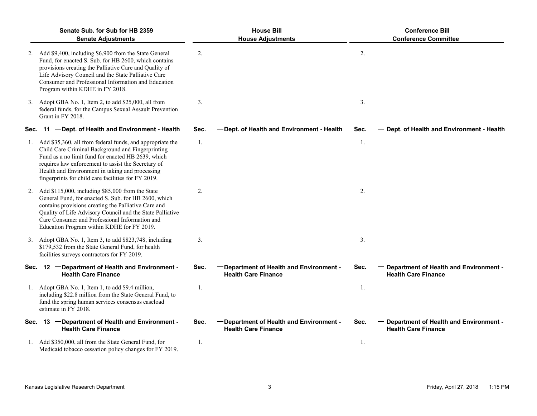| Senate Sub, for Sub for HB 2359<br><b>Senate Adjustments</b>                                                                                                                                                                                                                                                                             |      | <b>House Bill</b><br><b>House Adjustments</b>                          |      | <b>Conference Bill</b><br><b>Conference Committee</b>                  |
|------------------------------------------------------------------------------------------------------------------------------------------------------------------------------------------------------------------------------------------------------------------------------------------------------------------------------------------|------|------------------------------------------------------------------------|------|------------------------------------------------------------------------|
| 2. Add \$9,400, including \$6,900 from the State General<br>Fund, for enacted S. Sub. for HB 2600, which contains<br>provisions creating the Palliative Care and Quality of<br>Life Advisory Council and the State Palliative Care<br>Consumer and Professional Information and Education<br>Program within KDHE in FY 2018.             | 2.   |                                                                        | 2.   |                                                                        |
| 3. Adopt GBA No. 1, Item 2, to add \$25,000, all from<br>federal funds, for the Campus Sexual Assault Prevention<br>Grant in FY 2018.                                                                                                                                                                                                    | 3.   |                                                                        | 3.   |                                                                        |
| Sec. 11 - Dept. of Health and Environment - Health                                                                                                                                                                                                                                                                                       | Sec. | -Dept. of Health and Environment - Health                              | Sec. | - Dept. of Health and Environment - Health                             |
| 1. Add \$35,360, all from federal funds, and appropriate the<br>Child Care Criminal Background and Fingerprinting<br>Fund as a no limit fund for enacted HB 2639, which<br>requires law enforcement to assist the Secretary of<br>Health and Environment in taking and processing<br>fingerprints for child care facilities for FY 2019. | 1.   |                                                                        | 1.   |                                                                        |
| 2. Add \$115,000, including \$85,000 from the State<br>General Fund, for enacted S. Sub. for HB 2600, which<br>contains provisions creating the Palliative Care and<br>Quality of Life Advisory Council and the State Palliative<br>Care Consumer and Professional Information and<br>Education Program within KDHE for FY 2019.         | 2.   |                                                                        | 2.   |                                                                        |
| 3. Adopt GBA No. 1, Item 3, to add \$823,748, including<br>\$179,532 from the State General Fund, for health<br>facilities surveys contractors for FY 2019.                                                                                                                                                                              | 3.   |                                                                        | 3.   |                                                                        |
| Sec. 12 - Department of Health and Environment -<br><b>Health Care Finance</b>                                                                                                                                                                                                                                                           | Sec. | - Department of Health and Environment -<br><b>Health Care Finance</b> | Sec. | Department of Health and Environment -<br><b>Health Care Finance</b>   |
| 1. Adopt GBA No. 1, Item 1, to add \$9.4 million,<br>including \$22.8 million from the State General Fund, to<br>fund the spring human services consensus caseload<br>estimate in FY 2018.                                                                                                                                               | 1.   |                                                                        | 1.   |                                                                        |
| Sec. 13 -Department of Health and Environment -<br><b>Health Care Finance</b>                                                                                                                                                                                                                                                            | Sec. | -Department of Health and Environment -<br><b>Health Care Finance</b>  | Sec. | - Department of Health and Environment -<br><b>Health Care Finance</b> |
| 1. Add \$350,000, all from the State General Fund, for<br>Medicaid tobacco cessation policy changes for FY 2019.                                                                                                                                                                                                                         | 1.   |                                                                        | 1.   |                                                                        |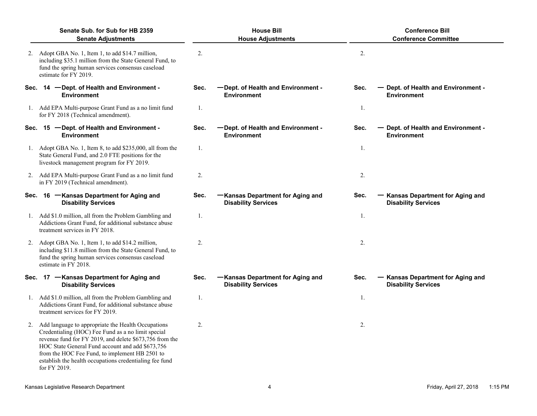| Senate Sub. for Sub for HB 2359<br><b>Senate Adjustments</b> |                                                                                                                                                                                                                                                                                                                                                         | <b>House Bill</b><br><b>House Adjustments</b> |                                                                |      | <b>Conference Bill</b><br><b>Conference Committee</b>                |
|--------------------------------------------------------------|---------------------------------------------------------------------------------------------------------------------------------------------------------------------------------------------------------------------------------------------------------------------------------------------------------------------------------------------------------|-----------------------------------------------|----------------------------------------------------------------|------|----------------------------------------------------------------------|
|                                                              | 2. Adopt GBA No. 1, Item 1, to add \$14.7 million,<br>including \$35.1 million from the State General Fund, to<br>fund the spring human services consensus caseload<br>estimate for FY 2019.                                                                                                                                                            | 2.                                            |                                                                | 2.   |                                                                      |
|                                                              | Sec. 14 - Dept. of Health and Environment -<br><b>Environment</b>                                                                                                                                                                                                                                                                                       | Sec.                                          | -Dept. of Health and Environment -<br><b>Environment</b>       | Sec. | Dept. of Health and Environment -<br><b>Environment</b>              |
|                                                              | 1. Add EPA Multi-purpose Grant Fund as a no limit fund<br>for FY 2018 (Technical amendment).                                                                                                                                                                                                                                                            | 1.                                            |                                                                | 1.   |                                                                      |
| Sec.                                                         | 15 -Dept. of Health and Environment -<br><b>Environment</b>                                                                                                                                                                                                                                                                                             | Sec.                                          | -Dept. of Health and Environment -<br><b>Environment</b>       | Sec. | Dept. of Health and Environment -<br><b>Environment</b>              |
|                                                              | 1. Adopt GBA No. 1, Item 8, to add \$235,000, all from the<br>State General Fund, and 2.0 FTE positions for the<br>livestock management program for FY 2019.                                                                                                                                                                                            | 1.                                            |                                                                | 1.   |                                                                      |
|                                                              | 2. Add EPA Multi-purpose Grant Fund as a no limit fund<br>in FY 2019 (Technical amendment).                                                                                                                                                                                                                                                             | 2.                                            |                                                                | 2.   |                                                                      |
|                                                              | Sec. 16 - Kansas Department for Aging and<br><b>Disability Services</b>                                                                                                                                                                                                                                                                                 | Sec.                                          | -Kansas Department for Aging and<br><b>Disability Services</b> | Sec. | <b>Kansas Department for Aging and</b><br><b>Disability Services</b> |
|                                                              | 1. Add \$1.0 million, all from the Problem Gambling and<br>Addictions Grant Fund, for additional substance abuse<br>treatment services in FY 2018.                                                                                                                                                                                                      | 1.                                            |                                                                | 1.   |                                                                      |
|                                                              | 2. Adopt GBA No. 1, Item 1, to add \$14.2 million,<br>including \$11.8 million from the State General Fund, to<br>fund the spring human services consensus caseload<br>estimate in FY 2018.                                                                                                                                                             | 2.                                            |                                                                | 2.   |                                                                      |
|                                                              | Sec. 17 - Kansas Department for Aging and<br><b>Disability Services</b>                                                                                                                                                                                                                                                                                 | Sec.                                          | -Kansas Department for Aging and<br><b>Disability Services</b> | Sec. | Kansas Department for Aging and<br><b>Disability Services</b>        |
|                                                              | Add \$1.0 million, all from the Problem Gambling and<br>Addictions Grant Fund, for additional substance abuse<br>treatment services for FY 2019.                                                                                                                                                                                                        | 1.                                            |                                                                | 1.   |                                                                      |
|                                                              | 2. Add language to appropriate the Health Occupations<br>Credentialing (HOC) Fee Fund as a no limit special<br>revenue fund for FY 2019, and delete \$673,756 from the<br>HOC State General Fund account and add \$673,756<br>from the HOC Fee Fund, to implement HB 2501 to<br>establish the health occupations credentialing fee fund<br>for FY 2019. | 2.                                            |                                                                | 2.   |                                                                      |
|                                                              | Kansas Legislative Research Department                                                                                                                                                                                                                                                                                                                  |                                               | 4                                                              |      | Friday, April 27, 2018<br>1:15 PM                                    |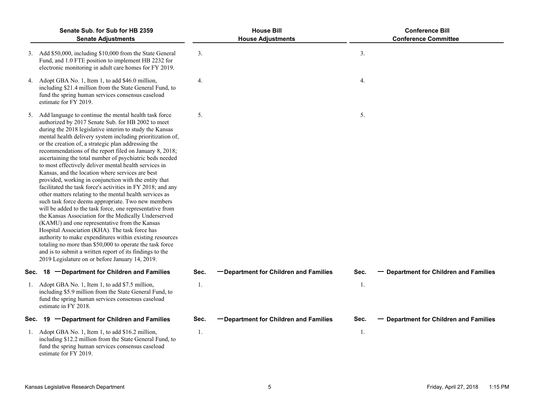|      | Senate Sub, for Sub for HB 2359<br><b>Senate Adjustments</b>                                                                                                                                                                                                                                                                                                                                                                                                                                                                                                                                                                                                                                                                                                                                                                                                                                                                                                                                                                                                                                                                                                                                                                           |      | <b>House Bill</b><br><b>House Adjustments</b> |      | <b>Conference Bill</b><br><b>Conference Committee</b> |
|------|----------------------------------------------------------------------------------------------------------------------------------------------------------------------------------------------------------------------------------------------------------------------------------------------------------------------------------------------------------------------------------------------------------------------------------------------------------------------------------------------------------------------------------------------------------------------------------------------------------------------------------------------------------------------------------------------------------------------------------------------------------------------------------------------------------------------------------------------------------------------------------------------------------------------------------------------------------------------------------------------------------------------------------------------------------------------------------------------------------------------------------------------------------------------------------------------------------------------------------------|------|-----------------------------------------------|------|-------------------------------------------------------|
|      | 3. Add \$50,000, including \$10,000 from the State General<br>Fund, and 1.0 FTE position to implement HB 2232 for<br>electronic monitoring in adult care homes for FY 2019.                                                                                                                                                                                                                                                                                                                                                                                                                                                                                                                                                                                                                                                                                                                                                                                                                                                                                                                                                                                                                                                            | 3.   |                                               | 3.   |                                                       |
|      | 4. Adopt GBA No. 1, Item 1, to add \$46.0 million,<br>including \$21.4 million from the State General Fund, to<br>fund the spring human services consensus caseload<br>estimate for FY 2019.                                                                                                                                                                                                                                                                                                                                                                                                                                                                                                                                                                                                                                                                                                                                                                                                                                                                                                                                                                                                                                           | 4.   |                                               | 4.   |                                                       |
| 5.   | Add language to continue the mental health task force<br>authorized by 2017 Senate Sub. for HB 2002 to meet<br>during the 2018 legislative interim to study the Kansas<br>mental health delivery system including prioritization of,<br>or the creation of, a strategic plan addressing the<br>recommendations of the report filed on January 8, 2018;<br>ascertaining the total number of psychiatric beds needed<br>to most effectively deliver mental health services in<br>Kansas, and the location where services are best<br>provided, working in conjunction with the entity that<br>facilitated the task force's activities in FY 2018; and any<br>other matters relating to the mental health services as<br>such task force deems appropriate. Two new members<br>will be added to the task force, one representative from<br>the Kansas Association for the Medically Underserved<br>(KAMU) and one representative from the Kansas<br>Hospital Association (KHA). The task force has<br>authority to make expenditures within existing resources<br>totaling no more than \$50,000 to operate the task force<br>and is to submit a written report of its findings to the<br>2019 Legislature on or before January 14, 2019. | 5.   |                                               | 5.   |                                                       |
| Sec. | -Department for Children and Families<br>18                                                                                                                                                                                                                                                                                                                                                                                                                                                                                                                                                                                                                                                                                                                                                                                                                                                                                                                                                                                                                                                                                                                                                                                            | Sec. | -Department for Children and Families         | Sec. | - Department for Children and Families                |
| 1.   | Adopt GBA No. 1, Item 1, to add \$7.5 million,<br>including \$5.9 million from the State General Fund, to<br>fund the spring human services consensus caseload<br>estimate in FY 2018.                                                                                                                                                                                                                                                                                                                                                                                                                                                                                                                                                                                                                                                                                                                                                                                                                                                                                                                                                                                                                                                 | 1.   |                                               | 1.   |                                                       |
| Sec. | -Department for Children and Families<br>19                                                                                                                                                                                                                                                                                                                                                                                                                                                                                                                                                                                                                                                                                                                                                                                                                                                                                                                                                                                                                                                                                                                                                                                            | Sec. | -Department for Children and Families         | Sec. | - Department for Children and Families                |
|      | 1. Adopt GBA No. 1, Item 1, to add \$16.2 million,<br>including \$12.2 million from the State General Fund, to<br>fund the spring human services consensus caseload<br>estimate for FY 2019.                                                                                                                                                                                                                                                                                                                                                                                                                                                                                                                                                                                                                                                                                                                                                                                                                                                                                                                                                                                                                                           | 1.   |                                               | 1.   |                                                       |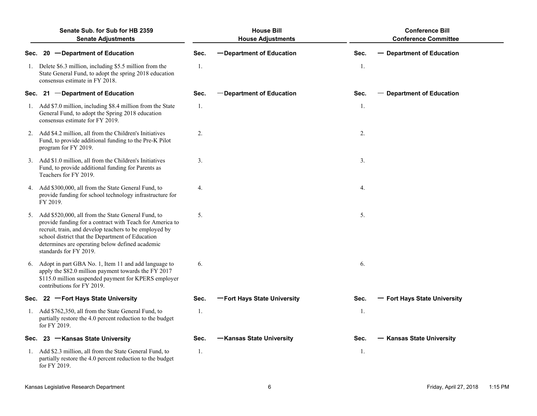|      | Senate Sub, for Sub for HB 2359<br><b>Senate Adjustments</b>                                                                                                                                                                                                                                                 |      | <b>House Bill</b><br><b>House Adjustments</b> |      | <b>Conference Bill</b><br><b>Conference Committee</b> |
|------|--------------------------------------------------------------------------------------------------------------------------------------------------------------------------------------------------------------------------------------------------------------------------------------------------------------|------|-----------------------------------------------|------|-------------------------------------------------------|
| Sec. | 20 - Department of Education                                                                                                                                                                                                                                                                                 | Sec. | -Department of Education                      | Sec. | - Department of Education                             |
|      | 1. Delete \$6.3 million, including \$5.5 million from the<br>State General Fund, to adopt the spring 2018 education<br>consensus estimate in FY 2018.                                                                                                                                                        | 1.   |                                               | 1.   |                                                       |
| Sec. | 21 -Department of Education                                                                                                                                                                                                                                                                                  | Sec. | -Department of Education                      | Sec. | - Department of Education                             |
|      | 1. Add \$7.0 million, including \$8.4 million from the State<br>General Fund, to adopt the Spring 2018 education<br>consensus estimate for FY 2019.                                                                                                                                                          | 1.   |                                               | 1.   |                                                       |
|      | 2. Add \$4.2 million, all from the Children's Initiatives<br>Fund, to provide additional funding to the Pre-K Pilot<br>program for FY 2019.                                                                                                                                                                  | 2.   |                                               | 2.   |                                                       |
|      | 3. Add \$1.0 million, all from the Children's Initiatives<br>Fund, to provide additional funding for Parents as<br>Teachers for FY 2019.                                                                                                                                                                     | 3.   |                                               | 3.   |                                                       |
|      | 4. Add \$300,000, all from the State General Fund, to<br>provide funding for school technology infrastructure for<br>FY 2019.                                                                                                                                                                                | 4.   |                                               | 4.   |                                                       |
|      | 5. Add \$520,000, all from the State General Fund, to<br>provide funding for a contract with Teach for America to<br>recruit, train, and develop teachers to be employed by<br>school district that the Department of Education<br>determines are operating below defined academic<br>standards for FY 2019. | 5.   |                                               | 5.   |                                                       |
|      | 6. Adopt in part GBA No. 1, Item 11 and add language to<br>apply the \$82.0 million payment towards the FY 2017<br>\$115.0 million suspended payment for KPERS employer<br>contributions for FY 2019.                                                                                                        | 6.   |                                               | 6.   |                                                       |
|      | Sec. 22 - Fort Hays State University                                                                                                                                                                                                                                                                         | Sec. | -Fort Hays State University                   | Sec. | - Fort Hays State University                          |
|      | 1. Add \$762,350, all from the State General Fund, to<br>partially restore the 4.0 percent reduction to the budget<br>for FY 2019.                                                                                                                                                                           | 1.   |                                               | 1.   |                                                       |
|      | Sec. 23 - Kansas State University                                                                                                                                                                                                                                                                            | Sec. | -Kansas State University                      | Sec. | <b>Kansas State University</b>                        |
|      | 1. Add \$2.3 million, all from the State General Fund, to<br>partially restore the 4.0 percent reduction to the budget<br>for FY 2019.                                                                                                                                                                       | 1.   |                                               | 1.   |                                                       |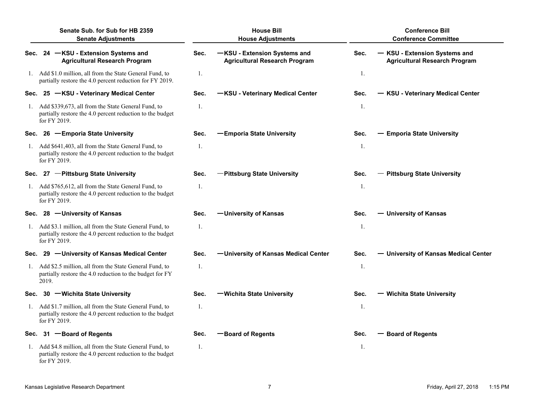|      | Senate Sub. for Sub for HB 2359<br><b>Senate Adjustments</b>                                                                           |      | <b>House Bill</b><br><b>House Adjustments</b>                        |      | <b>Conference Bill</b><br><b>Conference Committee</b>                 |
|------|----------------------------------------------------------------------------------------------------------------------------------------|------|----------------------------------------------------------------------|------|-----------------------------------------------------------------------|
| Sec. | 24 -KSU - Extension Systems and<br><b>Agricultural Research Program</b>                                                                | Sec. | -KSU - Extension Systems and<br><b>Agricultural Research Program</b> | Sec. | - KSU - Extension Systems and<br><b>Agricultural Research Program</b> |
|      | 1. Add \$1.0 million, all from the State General Fund, to<br>partially restore the 4.0 percent reduction for FY 2019.                  | 1.   |                                                                      | 1.   |                                                                       |
| Sec. | 25 -KSU - Veterinary Medical Center                                                                                                    | Sec. | -KSU - Veterinary Medical Center                                     | Sec. | - KSU - Veterinary Medical Center                                     |
| 1.   | Add \$339,673, all from the State General Fund, to<br>partially restore the 4.0 percent reduction to the budget<br>for FY 2019.        | 1.   |                                                                      | 1.   |                                                                       |
| Sec. | 26 - Emporia State University                                                                                                          | Sec. | -Emporia State University                                            | Sec. | - Emporia State University                                            |
|      | 1. Add \$641,403, all from the State General Fund, to<br>partially restore the 4.0 percent reduction to the budget<br>for FY 2019.     | 1.   |                                                                      | 1.   |                                                                       |
|      | Sec. 27 - Pittsburg State University                                                                                                   | Sec. | -Pittsburg State University                                          | Sec. | - Pittsburg State University                                          |
| 1.   | Add \$765,612, all from the State General Fund, to<br>partially restore the 4.0 percent reduction to the budget<br>for FY 2019.        | 1.   |                                                                      | 1.   |                                                                       |
| Sec. | 28 - University of Kansas                                                                                                              | Sec. | -University of Kansas                                                | Sec. | - University of Kansas                                                |
|      | 1. Add \$3.1 million, all from the State General Fund, to<br>partially restore the 4.0 percent reduction to the budget<br>for FY 2019. | 1.   |                                                                      | 1.   |                                                                       |
| Sec. | 29 - University of Kansas Medical Center                                                                                               | Sec. | -University of Kansas Medical Center                                 | Sec. | - University of Kansas Medical Center                                 |
| 1.   | Add \$2.5 million, all from the State General Fund, to<br>partially restore the 4.0 reduction to the budget for FY<br>2019.            | 1.   |                                                                      | 1.   |                                                                       |
| Sec. | 30 - Wichita State University                                                                                                          | Sec. | -Wichita State University                                            | Sec. | - Wichita State University                                            |
| 1.   | Add \$1.7 million, all from the State General Fund, to<br>partially restore the 4.0 percent reduction to the budget<br>for FY 2019.    | 1.   |                                                                      | 1.   |                                                                       |
| Sec. | 31 -Board of Regents                                                                                                                   | Sec. | -Board of Regents                                                    | Sec. | <b>- Board of Regents</b>                                             |
|      | 1. Add \$4.8 million, all from the State General Fund, to<br>partially restore the 4.0 percent reduction to the budget<br>for FY 2019. | 1.   |                                                                      | 1.   |                                                                       |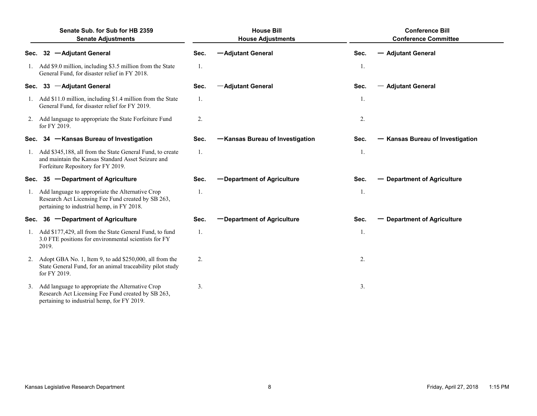| Senate Sub. for Sub for HB 2359<br><b>Senate Adjustments</b> |                                                                                                                                                       | <b>House Bill</b><br><b>House Adjustments</b> |                                 |      | <b>Conference Bill</b><br><b>Conference Committee</b> |  |
|--------------------------------------------------------------|-------------------------------------------------------------------------------------------------------------------------------------------------------|-----------------------------------------------|---------------------------------|------|-------------------------------------------------------|--|
| Sec.                                                         | 32 - Adjutant General                                                                                                                                 | Sec.                                          | -Adjutant General               | Sec. | - Adjutant General                                    |  |
|                                                              | 1. Add \$9.0 million, including \$3.5 million from the State<br>General Fund, for disaster relief in FY 2018.                                         | 1.                                            |                                 | 1.   |                                                       |  |
| Sec.                                                         | 33 - Adjutant General                                                                                                                                 | Sec.                                          | -Adjutant General               | Sec. | <b>- Adjutant General</b>                             |  |
|                                                              | 1. Add \$11.0 million, including \$1.4 million from the State<br>General Fund, for disaster relief for FY 2019.                                       | 1.                                            |                                 | 1.   |                                                       |  |
|                                                              | 2. Add language to appropriate the State Forfeiture Fund<br>for FY 2019.                                                                              | 2.                                            |                                 | 2.   |                                                       |  |
| Sec.                                                         | 34 - Kansas Bureau of Investigation                                                                                                                   | Sec.                                          | -Kansas Bureau of Investigation | Sec. | - Kansas Bureau of Investigation                      |  |
| 1.                                                           | Add \$345,188, all from the State General Fund, to create<br>and maintain the Kansas Standard Asset Seizure and<br>Forfeiture Repository for FY 2019. | 1.                                            |                                 | -1.  |                                                       |  |
| Sec.                                                         | 35 -Department of Agriculture                                                                                                                         | Sec.                                          | -Department of Agriculture      | Sec. | - Department of Agriculture                           |  |
| 1.                                                           | Add language to appropriate the Alternative Crop<br>Research Act Licensing Fee Fund created by SB 263,<br>pertaining to industrial hemp, in FY 2018.  | 1.                                            |                                 | 1.   |                                                       |  |
| Sec.                                                         | 36 -Department of Agriculture                                                                                                                         | Sec.                                          | -Department of Agriculture      | Sec. | - Department of Agriculture                           |  |
|                                                              | 1. Add \$177,429, all from the State General Fund, to fund<br>3.0 FTE positions for environmental scientists for FY<br>2019.                          | 1.                                            |                                 | 1.   |                                                       |  |
|                                                              | Adopt GBA No. 1, Item 9, to add \$250,000, all from the<br>State General Fund, for an animal traceability pilot study<br>for FY 2019.                 | 2.                                            |                                 | 2.   |                                                       |  |
| 3.                                                           | Add language to appropriate the Alternative Crop<br>Research Act Licensing Fee Fund created by SB 263,<br>pertaining to industrial hemp, for FY 2019. | 3.                                            |                                 | 3.   |                                                       |  |